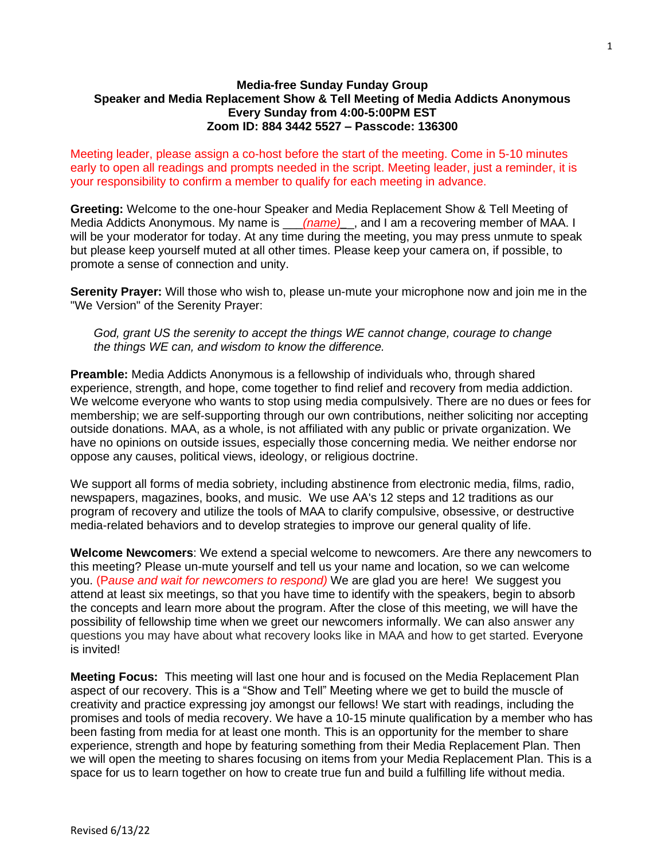## **Media-free Sunday Funday Group Speaker and Media Replacement Show & Tell Meeting of Media Addicts Anonymous Every Sunday from 4:00-5:00PM EST Zoom ID: 884 3442 5527 – Passcode: 136300**

Meeting leader, please assign a co-host before the start of the meeting. Come in 5-10 minutes early to open all readings and prompts needed in the script. Meeting leader, just a reminder, it is your responsibility to confirm a member to qualify for each meeting in advance.

**Greeting:** Welcome to the one-hour Speaker and Media Replacement Show & Tell Meeting of Media Addicts Anonymous. My name is *\_\_\_\_(name)*\_\_, and I am a recovering member of MAA. I will be your moderator for today. At any time during the meeting, you may press unmute to speak but please keep yourself muted at all other times. Please keep your camera on, if possible, to promote a sense of connection and unity.

**Serenity Prayer:** Will those who wish to, please un-mute your microphone now and join me in the "We Version" of the Serenity Prayer:

*God, grant US the serenity to accept the things WE cannot change, courage to change the things WE can, and wisdom to know the difference.*

**Preamble:** Media Addicts Anonymous is a fellowship of individuals who, through shared experience, strength, and hope, come together to find relief and recovery from media addiction. We welcome everyone who wants to stop using media compulsively. There are no dues or fees for membership; we are self-supporting through our own contributions, neither soliciting nor accepting outside donations. MAA, as a whole, is not affiliated with any public or private organization. We have no opinions on outside issues, especially those concerning media. We neither endorse nor oppose any causes, political views, ideology, or religious doctrine.

We support all forms of media sobriety, including abstinence from electronic media, films, radio, newspapers, magazines, books, and music. We use AA's 12 steps and 12 traditions as our program of recovery and utilize the tools of MAA to clarify compulsive, obsessive, or destructive media-related behaviors and to develop strategies to improve our general quality of life.

**Welcome Newcomers**: We extend a special welcome to newcomers. Are there any newcomers to this meeting? Please un-mute yourself and tell us your name and location, so we can welcome you. (P*ause and wait for newcomers to respond)* We are glad you are here! We suggest you attend at least six meetings, so that you have time to identify with the speakers, begin to absorb the concepts and learn more about the program. After the close of this meeting, we will have the possibility of fellowship time when we greet our newcomers informally. We can also answer any questions you may have about what recovery looks like in MAA and how to get started. Everyone is invited!

**Meeting Focus:** This meeting will last one hour and is focused on the Media Replacement Plan aspect of our recovery. This is a "Show and Tell" Meeting where we get to build the muscle of creativity and practice expressing joy amongst our fellows! We start with readings, including the promises and tools of media recovery. We have a 10-15 minute qualification by a member who has been fasting from media for at least one month. This is an opportunity for the member to share experience, strength and hope by featuring something from their Media Replacement Plan. Then we will open the meeting to shares focusing on items from your Media Replacement Plan. This is a space for us to learn together on how to create true fun and build a fulfilling life without media.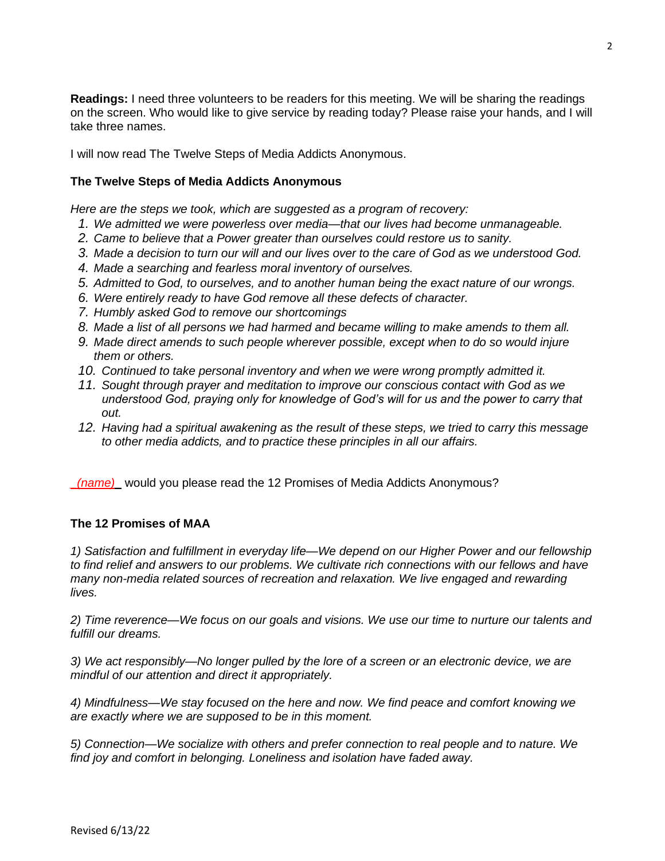**Readings:** I need three volunteers to be readers for this meeting. We will be sharing the readings on the screen. Who would like to give service by reading today? Please raise your hands, and I will take three names.

I will now read The Twelve Steps of Media Addicts Anonymous.

# **The Twelve Steps of Media Addicts Anonymous**

*Here are the steps we took, which are suggested as a program of recovery:*

- *1. We admitted we were powerless over media—that our lives had become unmanageable.*
- *2. Came to believe that a Power greater than ourselves could restore us to sanity.*
- *3. Made a decision to turn our will and our lives over to the care of God as we understood God.*
- *4. Made a searching and fearless moral inventory of ourselves.*
- *5. Admitted to God, to ourselves, and to another human being the exact nature of our wrongs.*
- *6. Were entirely ready to have God remove all these defects of character.*
- *7. Humbly asked God to remove our shortcomings*
- *8. Made a list of all persons we had harmed and became willing to make amends to them all.*
- *9. Made direct amends to such people wherever possible, except when to do so would injure them or others.*
- *10. Continued to take personal inventory and when we were wrong promptly admitted it.*
- *11. Sought through prayer and meditation to improve our conscious contact with God as we understood God, praying only for knowledge of God's will for us and the power to carry that out.*
- *12. Having had a spiritual awakening as the result of these steps, we tried to carry this message to other media addicts, and to practice these principles in all our affairs.*

*\_(name)\_* would you please read the 12 Promises of Media Addicts Anonymous?

# **The 12 Promises of MAA**

*1) Satisfaction and fulfillment in everyday life—We depend on our Higher Power and our fellowship to find relief and answers to our problems. We cultivate rich connections with our fellows and have many non-media related sources of recreation and relaxation. We live engaged and rewarding lives.*

*2) Time reverence—We focus on our goals and visions. We use our time to nurture our talents and fulfill our dreams.*

*3) We act responsibly—No longer pulled by the lore of a screen or an electronic device, we are mindful of our attention and direct it appropriately.*

*4) Mindfulness—We stay focused on the here and now. We find peace and comfort knowing we are exactly where we are supposed to be in this moment.*

*5) Connection—We socialize with others and prefer connection to real people and to nature. We find joy and comfort in belonging. Loneliness and isolation have faded away.*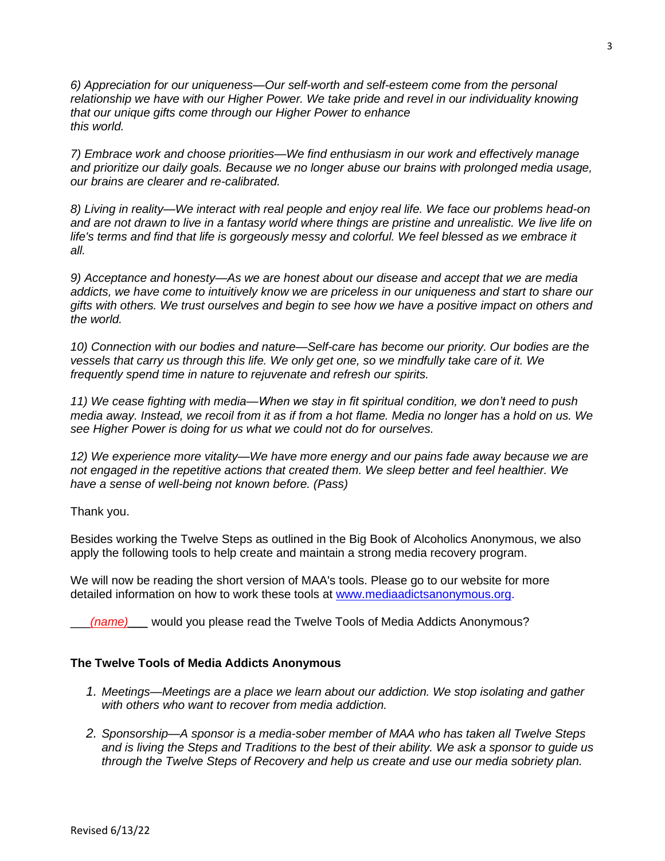*6) Appreciation for our uniqueness—Our self-worth and self-esteem come from the personal relationship we have with our Higher Power. We take pride and revel in our individuality knowing that our unique gifts come through our Higher Power to enhance this world.*

*7) Embrace work and choose priorities—We find enthusiasm in our work and effectively manage and prioritize our daily goals. Because we no longer abuse our brains with prolonged media usage, our brains are clearer and re-calibrated.*

*8) Living in reality—We interact with real people and enjoy real life. We face our problems head-on and are not drawn to live in a fantasy world where things are pristine and unrealistic. We live life on life's terms and find that life is gorgeously messy and colorful. We feel blessed as we embrace it all.*

*9) Acceptance and honesty—As we are honest about our disease and accept that we are media addicts, we have come to intuitively know we are priceless in our uniqueness and start to share our gifts with others. We trust ourselves and begin to see how we have a positive impact on others and the world.*

*10) Connection with our bodies and nature—Self-care has become our priority. Our bodies are the vessels that carry us through this life. We only get one, so we mindfully take care of it. We frequently spend time in nature to rejuvenate and refresh our spirits.*

*11) We cease fighting with media—When we stay in fit spiritual condition, we don't need to push media away. Instead, we recoil from it as if from a hot flame. Media no longer has a hold on us. We see Higher Power is doing for us what we could not do for ourselves.*

*12) We experience more vitality—We have more energy and our pains fade away because we are not engaged in the repetitive actions that created them. We sleep better and feel healthier. We have a sense of well-being not known before. (Pass)*

Thank you.

Besides working the Twelve Steps as outlined in the Big Book of Alcoholics Anonymous, we also apply the following tools to help create and maintain a strong media recovery program.

We will now be reading the short version of MAA's tools. Please go to our website for more detailed information on how to work these tools at www[.mediaadictsanonymous.org.](http://www.mediaadictsanonymous.org/)

\_\_\_*(name)\_\_\_* would you please read the Twelve Tools of Media Addicts Anonymous?

# **The Twelve Tools of Media Addicts Anonymous**

- *1. Meetings—Meetings are a place we learn about our addiction. We stop isolating and gather with others who want to recover from media addiction.*
- *2. Sponsorship—A sponsor is a media-sober member of MAA who has taken all Twelve Steps and is living the Steps and Traditions to the best of their ability. We ask a sponsor to guide us through the Twelve Steps of Recovery and help us create and use our media sobriety plan.*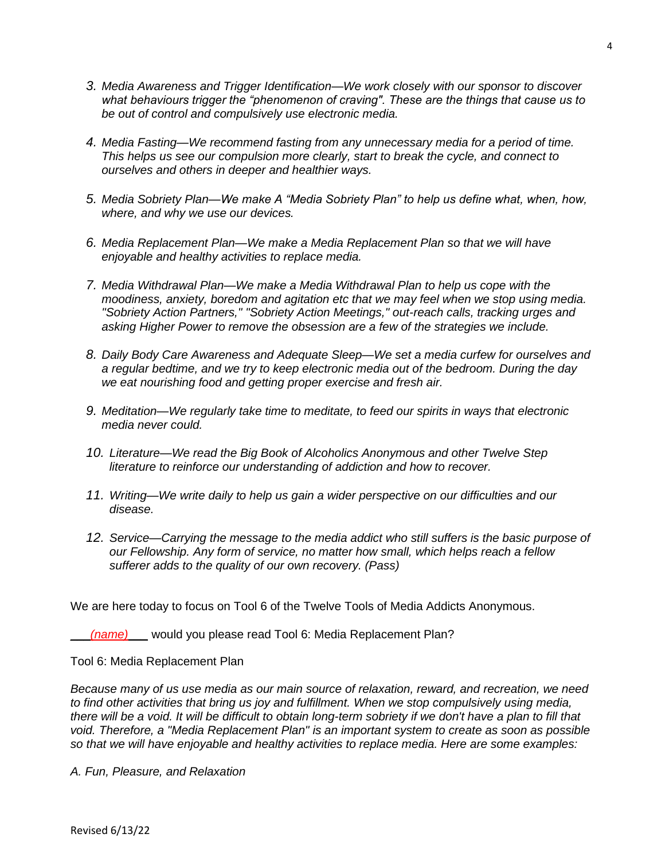- *3. Media Awareness and Trigger Identification—We work closely with our sponsor to discover what behaviours trigger the "phenomenon of craving". These are the things that cause us to be out of control and compulsively use electronic media.*
- *4. Media Fasting—We recommend fasting from any unnecessary media for a period of time. This helps us see our compulsion more clearly, start to break the cycle, and connect to ourselves and others in deeper and healthier ways.*
- *5. Media Sobriety Plan—We make A "Media Sobriety Plan" to help us define what, when, how, where, and why we use our devices.*
- *6. Media Replacement Plan—We make a Media Replacement Plan so that we will have enjoyable and healthy activities to replace media.*
- *7. Media Withdrawal Plan—We make a Media Withdrawal Plan to help us cope with the moodiness, anxiety, boredom and agitation etc that we may feel when we stop using media. "Sobriety Action Partners," "Sobriety Action Meetings," out-reach calls, tracking urges and asking Higher Power to remove the obsession are a few of the strategies we include.*
- *8. Daily Body Care Awareness and Adequate Sleep—We set a media curfew for ourselves and a regular bedtime, and we try to keep electronic media out of the bedroom. During the day we eat nourishing food and getting proper exercise and fresh air.*
- *9. Meditation—We regularly take time to meditate, to feed our spirits in ways that electronic media never could.*
- *10. Literature—We read the Big Book of Alcoholics Anonymous and other Twelve Step literature to reinforce our understanding of addiction and how to recover.*
- *11. Writing—We write daily to help us gain a wider perspective on our difficulties and our disease.*
- *12. Service—Carrying the message to the media addict who still suffers is the basic purpose of our Fellowship. Any form of service, no matter how small, which helps reach a fellow sufferer adds to the quality of our own recovery. (Pass)*

We are here today to focus on Tool 6 of the Twelve Tools of Media Addicts Anonymous.

(name) would you please read Tool 6: Media Replacement Plan?

Tool 6: Media Replacement Plan

*Because many of us use media as our main source of relaxation, reward, and recreation, we need*  to find other activities that bring us joy and fulfillment. When we stop compulsively using media, there will be a void. It will be difficult to obtain long-term sobriety if we don't have a plan to fill that *void. Therefore, a "Media Replacement Plan" is an important system to create as soon as possible so that we will have enjoyable and healthy activities to replace media. Here are some examples:*

*A. Fun, Pleasure, and Relaxation*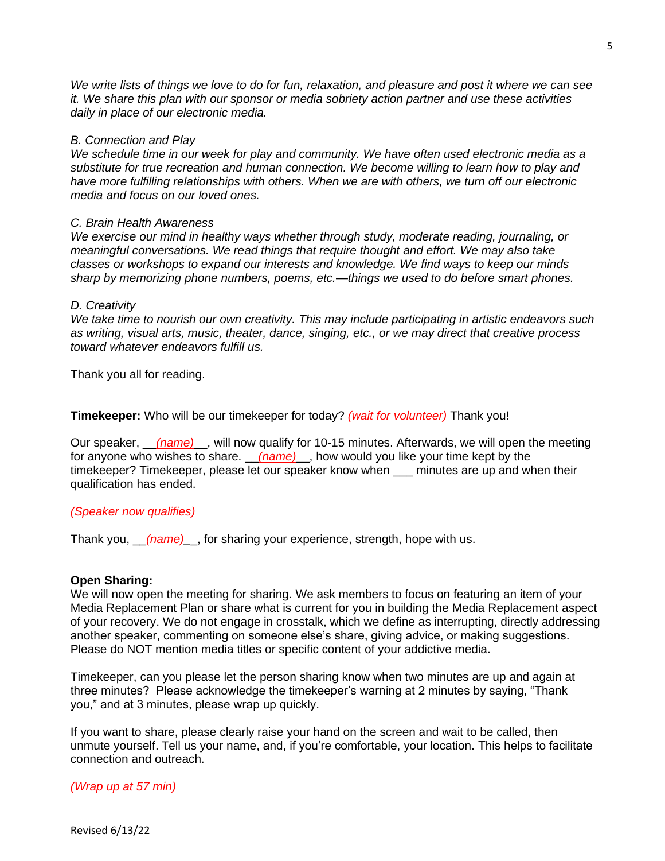5

*We write lists of things we love to do for fun, relaxation, and pleasure and post it where we can see it. We share this plan with our sponsor or media sobriety action partner and use these activities daily in place of our electronic media.*

## *B. Connection and Play*

*We schedule time in our week for play and community. We have often used electronic media as a substitute for true recreation and human connection. We become willing to learn how to play and*  have more fulfilling relationships with others. When we are with others, we turn off our electronic *media and focus on our loved ones.*

### *C. Brain Health Awareness*

*We exercise our mind in healthy ways whether through study, moderate reading, journaling, or meaningful conversations. We read things that require thought and effort. We may also take classes or workshops to expand our interests and knowledge. We find ways to keep our minds sharp by memorizing phone numbers, poems, etc.—things we used to do before smart phones.*

## *D. Creativity*

*We take time to nourish our own creativity. This may include participating in artistic endeavors such as writing, visual arts, music, theater, dance, singing, etc., or we may direct that creative process toward whatever endeavors fulfill us.*

Thank you all for reading.

**Timekeeper:** Who will be our timekeeper for today? *(wait for volunteer)* Thank you!

Our speaker, \_\_*(name)*\_\_, will now qualify for 10-15 minutes. Afterwards, we will open the meeting for anyone who wishes to share. \_\_*(name)*\_\_, how would you like your time kept by the timekeeper? Timekeeper, please let our speaker know when \_\_\_ minutes are up and when their qualification has ended.

## *(Speaker now qualifies)*

Thank you, \_\_*(name)\_*\_, for sharing your experience, strength, hope with us.

## **Open Sharing:**

We will now open the meeting for sharing. We ask members to focus on featuring an item of your Media Replacement Plan or share what is current for you in building the Media Replacement aspect of your recovery. We do not engage in crosstalk, which we define as interrupting, directly addressing another speaker, commenting on someone else's share, giving advice, or making suggestions. Please do NOT mention media titles or specific content of your addictive media.

Timekeeper, can you please let the person sharing know when two minutes are up and again at three minutes? Please acknowledge the timekeeper's warning at 2 minutes by saying, "Thank you," and at 3 minutes, please wrap up quickly.

If you want to share, please clearly raise your hand on the screen and wait to be called, then unmute yourself. Tell us your name, and, if you're comfortable, your location. This helps to facilitate connection and outreach.

## *(Wrap up at 57 min)*